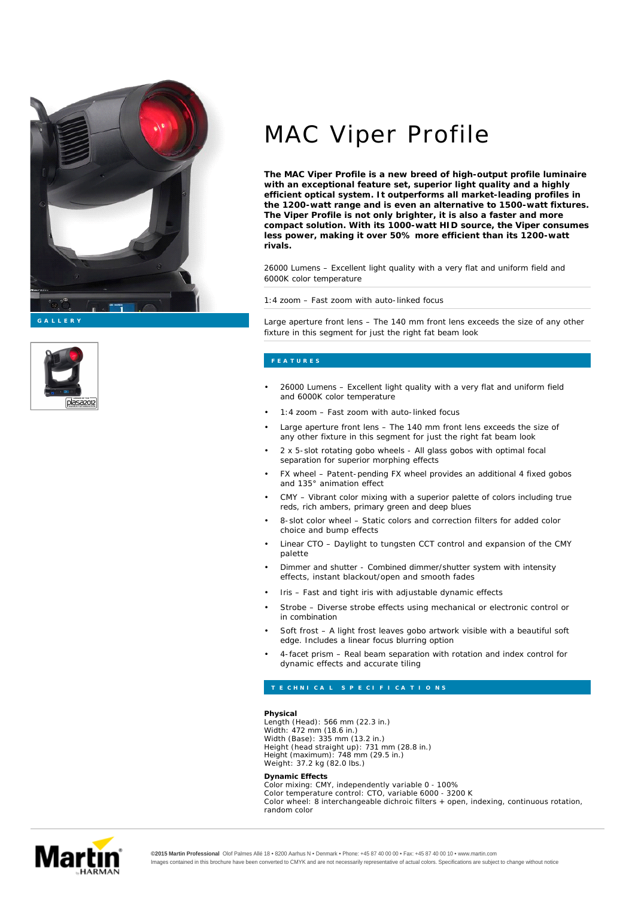

**G A L L E R Y**



# MAC Viper Profile

**The MAC Viper Profile is a new breed of high-output profile luminaire with an exceptional feature set, superior light quality and a highly efficient optical system. It outperforms all market-leading profiles in the 1200-watt range and is even an alternative to 1500-watt fixtures. The Viper Profile is not only brighter, it is also a faster and more compact solution. With its 1000-watt HID source, the Viper consumes less power, making it over 50% more efficient than its 1200-watt rivals.**

26000 Lumens – Excellent light quality with a very flat and uniform field and 6000K color temperature

1:4 zoom – Fast zoom with auto-linked focus

Large aperture front lens – The 140 mm front lens exceeds the size of any other fixture in this segment for just the right fat beam look

- 26000 Lumens Excellent light quality with a very flat and uniform field and 6000K color temperature
- 1:4 zoom Fast zoom with auto-linked focus
- Large aperture front lens The 140 mm front lens exceeds the size of any other fixture in this segment for just the right fat beam look
- 2 x 5-slot rotating gobo wheels All glass gobos with optimal focal separation for superior morphing effects
- FX wheel Patent-pending FX wheel provides an additional 4 fixed gobos and 135° animation effect
- CMY Vibrant color mixing with a superior palette of colors including true reds, rich ambers, primary green and deep blues
- 8-slot color wheel Static colors and correction filters for added color choice and bump effects
- Linear CTO Daylight to tungsten CCT control and expansion of the CMY palette
- Dimmer and shutter Combined dimmer/shutter system with intensity effects, instant blackout/open and smooth fades
- Iris Fast and tight iris with adjustable dynamic effects
- Strobe Diverse strobe effects using mechanical or electronic control or in combination
- Soft frost A light frost leaves gobo artwork visible with a beautiful soft edge. Includes a linear focus blurring option
- 4-facet prism Real beam separation with rotation and index control for dynamic effects and accurate tiling

**Physical** Length (Head): 566 mm (22.3 in.) Width: 472 mm (18.6 in.) Width (Base): 335 mm (13.2 in.) Height (head straight up): 731 mm (28.8 in.) Height (maximum): 748 mm (29.5 in.) Weight: 37.2 kg (82.0 lbs.)

**Dynamic Effects** Color mixing: CMY, independently variable 0 - 100% Color temperature control: CTO, variable 6000 - 3200 K Color wheel: 8 interchangeable dichroic filters + open, indexing, continuous rotation, random color



**©2015 Martin Professional** Olof Palmes Allé 18 • 8200 Aarhus N • Denmark • Phone: +45 87 40 00 00 • Fax: +45 87 40 00 10 • www.martin.com Images contained in this brochure have been converted to CMYK and are not necessarily representative of actual colors. Specifications are subject to change without notice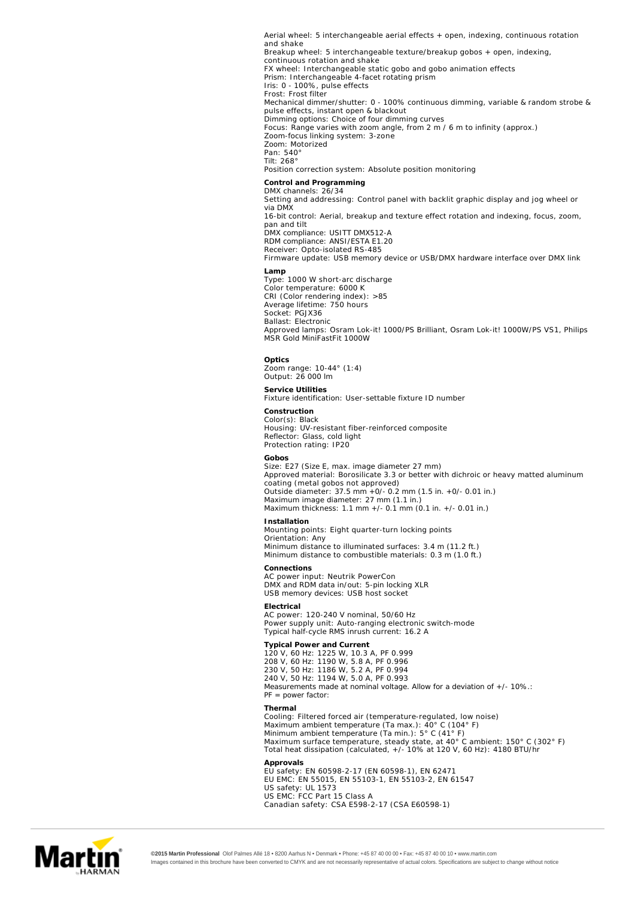**Control and Programming Lamp Optics Service Utilities Construction Gobos Installation Connections Electrical Typical Power and Current Thermal Approvals** Aerial wheel: 5 interchangeable aerial effects + open, indexing, continuous rotation and shake Breakup wheel: 5 interchangeable texture/breakup gobos + open, indexing, continuous rotation and shake FX wheel: Interchangeable static gobo and gobo animation effects Prism: Interchangeable 4-facet rotating prism Iris: 0 - 100%, pulse effects Frost: Frost filter Mechanical dimmer/shutter: 0 - 100% continuous dimming, variable & random strobe & pulse effects, instant open & blackout Dimming options: Choice of four dimming curves Focus: Range varies with zoom angle, from 2 m / 6 m to infinity (approx.) Zoom-focus linking system: 3-zone Zoom: Motorized Pan: 540° Tilt: 268° Position correction system: Absolute position monitoring DMX channels: 26/34 Setting and addressing: Control panel with backlit graphic display and jog wheel or via DMX 16-bit control: Aerial, breakup and texture effect rotation and indexing, focus, zoom, pan and tilt DMX compliance: USITT DMX512-A RDM compliance: ANSI/ESTA E1.20 Receiver: Opto-isolated RS-485 Firmware update: USB memory device or USB/DMX hardware interface over DMX link Type: 1000 W short-arc discharge Color temperature: 6000 K CRI (Color rendering index): >85 Average lifetime: 750 hours Socket: PGJX36 Ballast: Electronic Approved lamps: Osram Lok-it! 1000/PS Brilliant, Osram Lok-it! 1000W/PS VS1, Philips MSR Gold MiniFastFit 1000W Zoom range: 10-44° (1:4) Output: 26 000 lm Fixture identification: User-settable fixture ID number Color(s): Black Housing: UV-resistant fiber-reinforced composite Reflector: Glass, cold light Protection rating: IP20 Size: E27 (Size E, max. image diameter 27 mm) Approved material: Borosilicate 3.3 or better with dichroic or heavy matted aluminum coating (metal gobos not approved) Outside diameter: 37.5 mm +0/- 0.2 mm (1.5 in. +0/- 0.01 in.) Maximum image diameter: 27 mm (1.1 in.) Maximum thickness: 1.1 mm +/- 0.1 mm (0.1 in. +/- 0.01 in.) Mounting points: Eight quarter-turn locking points Orientation: Any Minimum distance to illuminated surfaces: 3.4 m (11.2 ft.) Minimum distance to combustible materials: 0.3 m (1.0 ft.) AC power input: Neutrik PowerCon DMX and RDM data in/out: 5-pin locking XLR USB memory devices: USB host socket AC power: 120-240 V nominal, 50/60 Hz Power supply unit: Auto-ranging electronic switch-mode Typical half-cycle RMS inrush current: 16.2 A 120 V, 60 Hz: 1225 W, 10.3 A, PF 0.999 208 V, 60 Hz: 1190 W, 5.8 A, PF 0.996 230 V, 50 Hz: 1186 W, 5.2 A, PF 0.994 240 V, 50 Hz: 1194 W, 5.0 A, PF 0.993 *Measurements made at nominal voltage. Allow for a deviation of +/- 10%.: PF = power factor:* Cooling: Filtered forced air (temperature-regulated, low noise) Maximum ambient temperature (Ta max.): 40° C (104° F) Minimum ambient temperature (Ta min.): 5° C (41° F) Maximum surface temperature, steady state, at 40° C ambient: 150° C (302° F) Total heat dissipation (calculated, +/- 10% at 120 V, 60 Hz): 4180 BTU/hr EU safety: EN 60598-2-17 (EN 60598-1), EN 62471 EU EMC: EN 55015, EN 55103-1, EN 55103-2, EN 61547 US safety: UL 1573 US EMC: FCC Part 15 Class A Canadian safety: CSA E598-2-17 (CSA E60598-1)